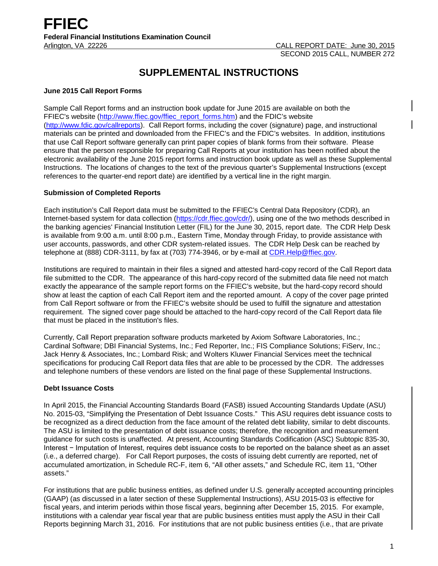# **SUPPLEMENTAL INSTRUCTIONS**

## **June 2015 Call Report Forms**

Sample Call Report forms and an instruction book update for June 2015 are available on both the FFIEC's website [\(http://www.ffiec.gov/ffiec\\_report\\_forms.htm\)](http://www.ffiec.gov/ffiec_report_forms.htm) and the FDIC's website [\(http://www.fdic.gov/callreports\)](http://www.fdic.gov/callreports). Call Report forms, including the cover (signature) page, and instructional materials can be printed and downloaded from the FFIEC's and the FDIC's websites. In addition, institutions that use Call Report software generally can print paper copies of blank forms from their software. Please ensure that the person responsible for preparing Call Reports at your institution has been notified about the electronic availability of the June 2015 report forms and instruction book update as well as these Supplemental Instructions. The locations of changes to the text of the previous quarter's Supplemental Instructions (except references to the quarter-end report date) are identified by a vertical line in the right margin.

## **Submission of Completed Reports**

Each institution's Call Report data must be submitted to the FFIEC's Central Data Repository (CDR), an Internet-based system for data collection [\(https://cdr.ffiec.gov/cdr/\)](https://cdr.ffiec.gov/cdr/), using one of the two methods described in the banking agencies' Financial Institution Letter (FIL) for the June 30, 2015, report date. The CDR Help Desk is available from 9:00 a.m. until 8:00 p.m., Eastern Time, Monday through Friday, to provide assistance with user accounts, passwords, and other CDR system-related issues. The CDR Help Desk can be reached by telephone at (888) CDR-3111, by fax at (703) 774-3946, or by e-mail at CDR.Help@ffiec.gov.

Institutions are required to maintain in their files a signed and attested hard-copy record of the Call Report data file submitted to the CDR. The appearance of this hard-copy record of the submitted data file need not match exactly the appearance of the sample report forms on the FFIEC's website, but the hard-copy record should show at least the caption of each Call Report item and the reported amount. A copy of the cover page printed from Call Report software or from the FFIEC's website should be used to fulfill the signature and attestation requirement. The signed cover page should be attached to the hard-copy record of the Call Report data file that must be placed in the institution's files.

Currently, Call Report preparation software products marketed by Axiom Software Laboratories, Inc.; Cardinal Software; DBI Financial Systems, Inc.; Fed Reporter, Inc.; FIS Compliance Solutions; FiServ, Inc.; Jack Henry & Associates, Inc.; Lombard Risk; and Wolters Kluwer Financial Services meet the technical specifications for producing Call Report data files that are able to be processed by the CDR. The addresses and telephone numbers of these vendors are listed on the final page of these Supplemental Instructions.

## **Debt Issuance Costs**

In April 2015, the Financial Accounting Standards Board (FASB) issued Accounting Standards Update (ASU) No. 2015-03, "Simplifying the Presentation of Debt Issuance Costs." This ASU requires debt issuance costs to be recognized as a direct deduction from the face amount of the related debt liability, similar to debt discounts. The ASU is limited to the presentation of debt issuance costs; therefore, the recognition and measurement guidance for such costs is unaffected. At present, Accounting Standards Codification (ASC) Subtopic 835-30, Interest − Imputation of Interest, requires debt issuance costs to be reported on the balance sheet as an asset (i.e., a deferred charge). For Call Report purposes, the costs of issuing debt currently are reported, net of accumulated amortization, in Schedule RC-F, item 6, "All other assets," and Schedule RC, item 11, "Other assets."

For institutions that are public business entities, as defined under U.S. generally accepted accounting principles (GAAP) (as discussed in a later section of these Supplemental Instructions), ASU 2015-03 is effective for fiscal years, and interim periods within those fiscal years, beginning after December 15, 2015. For example, institutions with a calendar year fiscal year that are public business entities must apply the ASU in their Call Reports beginning March 31, 2016. For institutions that are not public business entities (i.e., that are private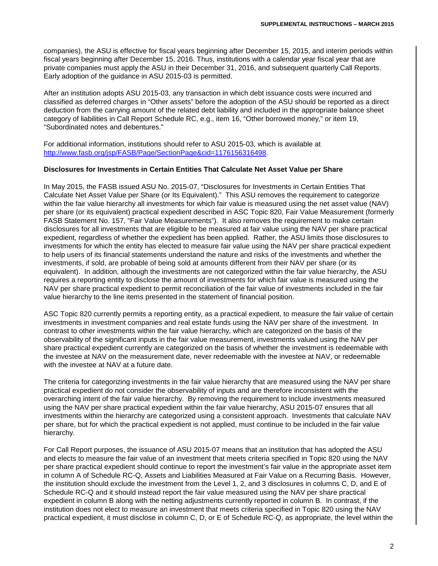companies), the ASU is effective for fiscal years beginning after December 15, 2015, and interim periods within fiscal years beginning after December 15, 2016. Thus, institutions with a calendar year fiscal year that are private companies must apply the ASU in their December 31, 2016, and subsequent quarterly Call Reports. Early adoption of the guidance in ASU 2015-03 is permitted.

After an institution adopts ASU 2015-03, any transaction in which debt issuance costs were incurred and classified as deferred charges in "Other assets" before the adoption of the ASU should be reported as a direct deduction from the carrying amount of the related debt liability and included in the appropriate balance sheet category of liabilities in Call Report Schedule RC, e.g., item 16, "Other borrowed money," or item 19, "Subordinated notes and debentures."

For additional information, institutions should refer to ASU 2015-03, which is available at [http://www.fasb.org/jsp/FASB/Page/SectionPage&cid=1176156316498.](http://www.fasb.org/jsp/FASB/Page/SectionPage&cid=1176156316498)

## **Disclosures for Investments in Certain Entities That Calculate Net Asset Value per Share**

In May 2015, the FASB issued ASU No. 2015-07, "Disclosures for Investments in Certain Entities That Calculate Net Asset Value per Share (or Its Equivalent)." This ASU removes the requirement to categorize within the fair value hierarchy all investments for which fair value is measured using the net asset value (NAV) per share (or its equivalent) practical expedient described in ASC Topic 820, Fair Value Measurement (formerly FASB Statement No. 157, "Fair Value Measurements"). It also removes the requirement to make certain disclosures for all investments that are eligible to be measured at fair value using the NAV per share practical expedient, regardless of whether the expedient has been applied. Rather, the ASU limits those disclosures to investments for which the entity has elected to measure fair value using the NAV per share practical expedient to help users of its financial statements understand the nature and risks of the investments and whether the investments, if sold, are probable of being sold at amounts different from their NAV per share (or its equivalent). In addition, although the investments are not categorized within the fair value hierarchy, the ASU requires a reporting entity to disclose the amount of investments for which fair value is measured using the NAV per share practical expedient to permit reconciliation of the fair value of investments included in the fair value hierarchy to the line items presented in the statement of financial position.

ASC Topic 820 currently permits a reporting entity, as a practical expedient, to measure the fair value of certain investments in investment companies and real estate funds using the NAV per share of the investment. In contrast to other investments within the fair value hierarchy, which are categorized on the basis of the observability of the significant inputs in the fair value measurement, investments valued using the NAV per share practical expedient currently are categorized on the basis of whether the investment is redeemable with the investee at NAV on the measurement date, never redeemable with the investee at NAV, or redeemable with the investee at NAV at a future date.

The criteria for categorizing investments in the fair value hierarchy that are measured using the NAV per share practical expedient do not consider the observability of inputs and are therefore inconsistent with the overarching intent of the fair value hierarchy. By removing the requirement to include investments measured using the NAV per share practical expedient within the fair value hierarchy, ASU 2015-07 ensures that all investments within the hierarchy are categorized using a consistent approach. Investments that calculate NAV per share, but for which the practical expedient is not applied, must continue to be included in the fair value hierarchy.

For Call Report purposes, the issuance of ASU 2015-07 means that an institution that has adopted the ASU and elects to measure the fair value of an investment that meets criteria specified in Topic 820 using the NAV per share practical expedient should continue to report the investment's fair value in the appropriate asset item in column A of Schedule RC-Q, Assets and Liabilities Measured at Fair Value on a Recurring Basis. However, the institution should exclude the investment from the Level 1, 2, and 3 disclosures in columns C, D, and E of Schedule RC-Q and it should instead report the fair value measured using the NAV per share practical expedient in column B along with the netting adjustments currently reported in column B. In contrast, if the institution does not elect to measure an investment that meets criteria specified in Topic 820 using the NAV practical expedient, it must disclose in column C, D, or E of Schedule RC-Q, as appropriate, the level within the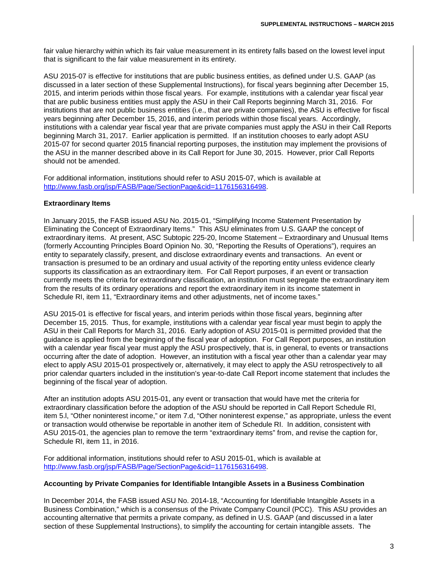fair value hierarchy within which its fair value measurement in its entirety falls based on the lowest level input that is significant to the fair value measurement in its entirety.

ASU 2015-07 is effective for institutions that are public business entities, as defined under U.S. GAAP (as discussed in a later section of these Supplemental Instructions), for fiscal years beginning after December 15, 2015, and interim periods within those fiscal years. For example, institutions with a calendar year fiscal year that are public business entities must apply the ASU in their Call Reports beginning March 31, 2016. For institutions that are not public business entities (i.e., that are private companies), the ASU is effective for fiscal years beginning after December 15, 2016, and interim periods within those fiscal years. Accordingly, institutions with a calendar year fiscal year that are private companies must apply the ASU in their Call Reports beginning March 31, 2017. Earlier application is permitted. If an institution chooses to early adopt ASU 2015-07 for second quarter 2015 financial reporting purposes, the institution may implement the provisions of the ASU in the manner described above in its Call Report for June 30, 2015. However, prior Call Reports should not be amended.

For additional information, institutions should refer to ASU 2015-07, which is available at http://www.fasb.org/isp/FASB/Page/SectionPage&cid=1176156316498.

## **Extraordinary Items**

In January 2015, the FASB issued ASU No. 2015-01, "Simplifying Income Statement Presentation by Eliminating the Concept of Extraordinary Items." This ASU eliminates from U.S. GAAP the concept of extraordinary items. At present, ASC Subtopic 225-20, Income Statement – Extraordinary and Unusual Items (formerly Accounting Principles Board Opinion No. 30, "Reporting the Results of Operations"), requires an entity to separately classify, present, and disclose extraordinary events and transactions. An event or transaction is presumed to be an ordinary and usual activity of the reporting entity unless evidence clearly supports its classification as an extraordinary item. For Call Report purposes, if an event or transaction currently meets the criteria for extraordinary classification, an institution must segregate the extraordinary item from the results of its ordinary operations and report the extraordinary item in its income statement in Schedule RI, item 11, "Extraordinary items and other adjustments, net of income taxes."

ASU 2015-01 is effective for fiscal years, and interim periods within those fiscal years, beginning after December 15, 2015. Thus, for example, institutions with a calendar year fiscal year must begin to apply the ASU in their Call Reports for March 31, 2016. Early adoption of ASU 2015-01 is permitted provided that the guidance is applied from the beginning of the fiscal year of adoption. For Call Report purposes, an institution with a calendar year fiscal year must apply the ASU prospectively, that is, in general, to events or transactions occurring after the date of adoption. However, an institution with a fiscal year other than a calendar year may elect to apply ASU 2015-01 prospectively or, alternatively, it may elect to apply the ASU retrospectively to all prior calendar quarters included in the institution's year-to-date Call Report income statement that includes the beginning of the fiscal year of adoption.

After an institution adopts ASU 2015-01, any event or transaction that would have met the criteria for extraordinary classification before the adoption of the ASU should be reported in Call Report Schedule RI, item 5.l, "Other noninterest income," or item 7.d, "Other noninterest expense," as appropriate, unless the event or transaction would otherwise be reportable in another item of Schedule RI. In addition, consistent with ASU 2015-01, the agencies plan to remove the term "extraordinary items" from, and revise the caption for, Schedule RI, item 11, in 2016.

For additional information, institutions should refer to ASU 2015-01, which is available at [http://www.fasb.org/jsp/FASB/Page/SectionPage&cid=1176156316498.](http://www.fasb.org/jsp/FASB/Page/SectionPage&cid=1176156316498)

## **Accounting by Private Companies for Identifiable Intangible Assets in a Business Combination**

In December 2014, the FASB issued ASU No. 2014-18, "Accounting for Identifiable Intangible Assets in a Business Combination," which is a consensus of the Private Company Council (PCC). This ASU provides an accounting alternative that permits a private company, as defined in U.S. GAAP (and discussed in a later section of these Supplemental Instructions), to simplify the accounting for certain intangible assets. The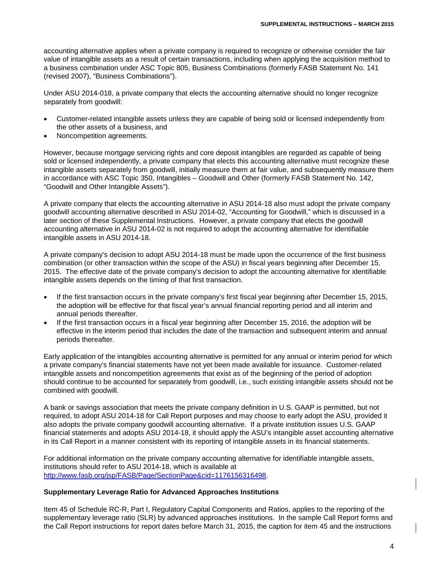accounting alternative applies when a private company is required to recognize or otherwise consider the fair value of intangible assets as a result of certain transactions, including when applying the acquisition method to a business combination under ASC Topic 805, Business Combinations (formerly FASB Statement No. 141 (revised 2007), "Business Combinations").

Under ASU 2014-018, a private company that elects the accounting alternative should no longer recognize separately from goodwill:

- Customer-related intangible assets unless they are capable of being sold or licensed independently from the other assets of a business, and
- Noncompetition agreements.

However, because mortgage servicing rights and core deposit intangibles are regarded as capable of being sold or licensed independently, a private company that elects this accounting alternative must recognize these intangible assets separately from goodwill, initially measure them at fair value, and subsequently measure them in accordance with ASC Topic 350, Intangibles – Goodwill and Other (formerly FASB Statement No. 142, "Goodwill and Other Intangible Assets").

A private company that elects the accounting alternative in ASU 2014-18 also must adopt the private company goodwill accounting alternative described in ASU 2014-02, "Accounting for Goodwill," which is discussed in a later section of these Supplemental Instructions. However, a private company that elects the goodwill accounting alternative in ASU 2014-02 is not required to adopt the accounting alternative for identifiable intangible assets in ASU 2014-18.

A private company's decision to adopt ASU 2014-18 must be made upon the occurrence of the first business combination (or other transaction within the scope of the ASU) in fiscal years beginning after December 15, 2015. The effective date of the private company's decision to adopt the accounting alternative for identifiable intangible assets depends on the timing of that first transaction.

- If the first transaction occurs in the private company's first fiscal year beginning after December 15, 2015, the adoption will be effective for that fiscal year's annual financial reporting period and all interim and annual periods thereafter.
- If the first transaction occurs in a fiscal year beginning after December 15, 2016, the adoption will be effective in the interim period that includes the date of the transaction and subsequent interim and annual periods thereafter.

Early application of the intangibles accounting alternative is permitted for any annual or interim period for which a private company's financial statements have not yet been made available for issuance. Customer-related intangible assets and noncompetition agreements that exist as of the beginning of the period of adoption should continue to be accounted for separately from goodwill, i.e., such existing intangible assets should not be combined with goodwill.

A bank or savings association that meets the private company definition in U.S. GAAP is permitted, but not required, to adopt ASU 2014-18 for Call Report purposes and may choose to early adopt the ASU, provided it also adopts the private company goodwill accounting alternative. If a private institution issues U.S. GAAP financial statements and adopts ASU 2014-18, it should apply the ASU's intangible asset accounting alternative in its Call Report in a manner consistent with its reporting of intangible assets in its financial statements.

For additional information on the private company accounting alternative for identifiable intangible assets, institutions should refer to ASU 2014-18, which is available at [http://www.fasb.org/jsp/FASB/Page/SectionPage&cid=1176156316498.](http://www.fasb.org/jsp/FASB/Page/SectionPage&cid=1176156316498)

## **Supplementary Leverage Ratio for Advanced Approaches Institutions**

Item 45 of Schedule RC-R, Part I, Regulatory Capital Components and Ratios, applies to the reporting of the supplementary leverage ratio (SLR) by advanced approaches institutions. In the sample Call Report forms and the Call Report instructions for report dates before March 31, 2015, the caption for item 45 and the instructions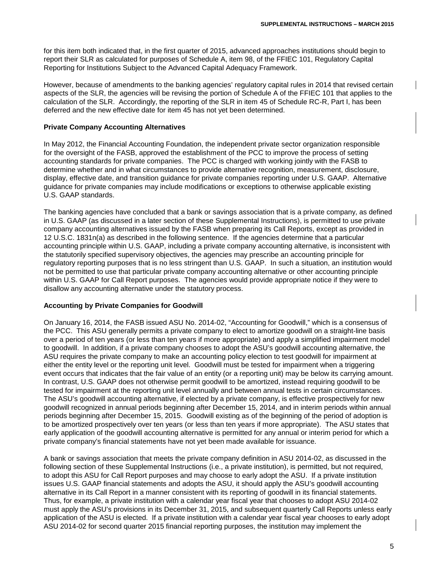for this item both indicated that, in the first quarter of 2015, advanced approaches institutions should begin to report their SLR as calculated for purposes of Schedule A, item 98, of the FFIEC 101, Regulatory Capital Reporting for Institutions Subject to the Advanced Capital Adequacy Framework.

However, because of amendments to the banking agencies' regulatory capital rules in 2014 that revised certain aspects of the SLR, the agencies will be revising the portion of Schedule A of the FFIEC 101 that applies to the calculation of the SLR. Accordingly, the reporting of the SLR in item 45 of Schedule RC-R, Part I, has been deferred and the new effective date for item 45 has not yet been determined.

#### **Private Company Accounting Alternatives**

In May 2012, the Financial Accounting Foundation, the independent private sector organization responsible for the oversight of the FASB, approved the establishment of the PCC to improve the process of setting accounting standards for private companies. The PCC is charged with working jointly with the FASB to determine whether and in what circumstances to provide alternative recognition, measurement, disclosure, display, effective date, and transition guidance for private companies reporting under U.S. GAAP. Alternative guidance for private companies may include modifications or exceptions to otherwise applicable existing U.S. GAAP standards.

The banking agencies have concluded that a bank or savings association that is a private company, as defined in U.S. GAAP (as discussed in a later section of these Supplemental Instructions), is permitted to use private company accounting alternatives issued by the FASB when preparing its Call Reports, except as provided in 12 U.S.C. 1831n(a) as described in the following sentence. If the agencies determine that a particular accounting principle within U.S. GAAP, including a private company accounting alternative, is inconsistent with the statutorily specified supervisory objectives, the agencies may prescribe an accounting principle for regulatory reporting purposes that is no less stringent than U.S. GAAP. In such a situation, an institution would not be permitted to use that particular private company accounting alternative or other accounting principle within U.S. GAAP for Call Report purposes. The agencies would provide appropriate notice if they were to disallow any accounting alternative under the statutory process.

## **Accounting by Private Companies for Goodwill**

On January 16, 2014, the FASB issued ASU No. 2014-02, "Accounting for Goodwill," which is a consensus of the PCC. This ASU generally permits a private company to elect to amortize goodwill on a straight-line basis over a period of ten years (or less than ten years if more appropriate) and apply a simplified impairment model to goodwill. In addition, if a private company chooses to adopt the ASU's goodwill accounting alternative, the ASU requires the private company to make an accounting policy election to test goodwill for impairment at either the entity level or the reporting unit level. Goodwill must be tested for impairment when a triggering event occurs that indicates that the fair value of an entity (or a reporting unit) may be below its carrying amount. In contrast, U.S. GAAP does not otherwise permit goodwill to be amortized, instead requiring goodwill to be tested for impairment at the reporting unit level annually and between annual tests in certain circumstances. The ASU's goodwill accounting alternative, if elected by a private company, is effective prospectively for new goodwill recognized in annual periods beginning after December 15, 2014, and in interim periods within annual periods beginning after December 15, 2015. Goodwill existing as of the beginning of the period of adoption is to be amortized prospectively over ten years (or less than ten years if more appropriate). The ASU states that early application of the goodwill accounting alternative is permitted for any annual or interim period for which a private company's financial statements have not yet been made available for issuance.

A bank or savings association that meets the private company definition in ASU 2014-02, as discussed in the following section of these Supplemental Instructions (i.e., a private institution), is permitted, but not required, to adopt this ASU for Call Report purposes and may choose to early adopt the ASU. If a private institution issues U.S. GAAP financial statements and adopts the ASU, it should apply the ASU's goodwill accounting alternative in its Call Report in a manner consistent with its reporting of goodwill in its financial statements. Thus, for example, a private institution with a calendar year fiscal year that chooses to adopt ASU 2014-02 must apply the ASU's provisions in its December 31, 2015, and subsequent quarterly Call Reports unless early application of the ASU is elected. If a private institution with a calendar year fiscal year chooses to early adopt ASU 2014-02 for second quarter 2015 financial reporting purposes, the institution may implement the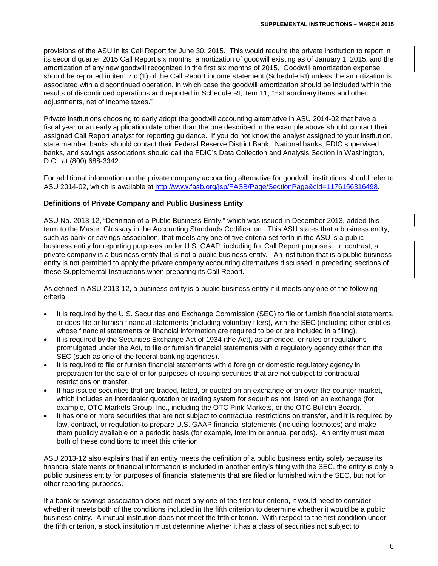provisions of the ASU in its Call Report for June 30, 2015. This would require the private institution to report in its second quarter 2015 Call Report six months' amortization of goodwill existing as of January 1, 2015, and the amortization of any new goodwill recognized in the first six months of 2015. Goodwill amortization expense should be reported in item 7.c.(1) of the Call Report income statement (Schedule RI) unless the amortization is associated with a discontinued operation, in which case the goodwill amortization should be included within the results of discontinued operations and reported in Schedule RI, item 11, "Extraordinary items and other adjustments, net of income taxes."

Private institutions choosing to early adopt the goodwill accounting alternative in ASU 2014-02 that have a fiscal year or an early application date other than the one described in the example above should contact their assigned Call Report analyst for reporting guidance. If you do not know the analyst assigned to your institution, state member banks should contact their Federal Reserve District Bank. National banks, FDIC supervised banks, and savings associations should call the FDIC's Data Collection and Analysis Section in Washington, D.C., at (800) 688-3342.

For additional information on the private company accounting alternative for goodwill, institutions should refer to ASU 2014-02, which is available at [http://www.fasb.org/jsp/FASB/Page/SectionPage&cid=1176156316498.](http://www.fasb.org/jsp/FASB/Page/SectionPage&cid=1176156316498)

## **Definitions of Private Company and Public Business Entity**

ASU No. 2013-12, "Definition of a Public Business Entity," which was issued in December 2013, added this term to the Master Glossary in the Accounting Standards Codification. This ASU states that a business entity, such as bank or savings association, that meets any one of five criteria set forth in the ASU is a public business entity for reporting purposes under U.S. GAAP, including for Call Report purposes. In contrast, a private company is a business entity that is not a public business entity. An institution that is a public business entity is not permitted to apply the private company accounting alternatives discussed in preceding sections of these Supplemental Instructions when preparing its Call Report.

As defined in ASU 2013-12, a business entity is a public business entity if it meets any one of the following criteria:

- It is required by the U.S. Securities and Exchange Commission (SEC) to file or furnish financial statements, or does file or furnish financial statements (including voluntary filers), with the SEC (including other entities whose financial statements or financial information are required to be or are included in a filing).
- It is required by the Securities Exchange Act of 1934 (the Act), as amended, or rules or regulations promulgated under the Act, to file or furnish financial statements with a regulatory agency other than the SEC (such as one of the federal banking agencies).
- It is required to file or furnish financial statements with a foreign or domestic regulatory agency in preparation for the sale of or for purposes of issuing securities that are not subject to contractual restrictions on transfer.
- It has issued securities that are traded, listed, or quoted on an exchange or an over-the-counter market, which includes an interdealer quotation or trading system for securities not listed on an exchange (for example, OTC Markets Group, Inc., including the OTC Pink Markets, or the OTC Bulletin Board).
- It has one or more securities that are not subject to contractual restrictions on transfer, and it is required by law, contract, or regulation to prepare U.S. GAAP financial statements (including footnotes) and make them publicly available on a periodic basis (for example, interim or annual periods). An entity must meet both of these conditions to meet this criterion.

ASU 2013-12 also explains that if an entity meets the definition of a public business entity solely because its financial statements or financial information is included in another entity's filing with the SEC, the entity is only a public business entity for purposes of financial statements that are filed or furnished with the SEC, but not for other reporting purposes.

If a bank or savings association does not meet any one of the first four criteria, it would need to consider whether it meets both of the conditions included in the fifth criterion to determine whether it would be a public business entity. A mutual institution does not meet the fifth criterion. With respect to the first condition under the fifth criterion, a stock institution must determine whether it has a class of securities not subject to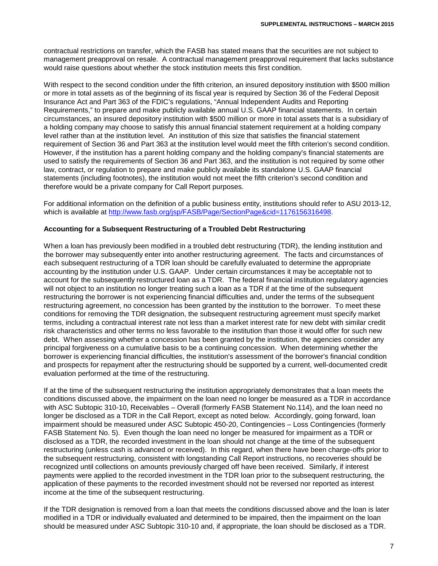contractual restrictions on transfer, which the FASB has stated means that the securities are not subject to management preapproval on resale. A contractual management preapproval requirement that lacks substance would raise questions about whether the stock institution meets this first condition.

With respect to the second condition under the fifth criterion, an insured depository institution with \$500 million or more in total assets as of the beginning of its fiscal year is required by Section 36 of the Federal Deposit Insurance Act and Part 363 of the FDIC's regulations, "Annual Independent Audits and Reporting Requirements," to prepare and make publicly available annual U.S. GAAP financial statements. In certain circumstances, an insured depository institution with \$500 million or more in total assets that is a subsidiary of a holding company may choose to satisfy this annual financial statement requirement at a holding company level rather than at the institution level. An institution of this size that satisfies the financial statement requirement of Section 36 and Part 363 at the institution level would meet the fifth criterion's second condition. However, if the institution has a parent holding company and the holding company's financial statements are used to satisfy the requirements of Section 36 and Part 363, and the institution is not required by some other law, contract, or regulation to prepare and make publicly available its standalone U.S. GAAP financial statements (including footnotes), the institution would not meet the fifth criterion's second condition and therefore would be a private company for Call Report purposes.

For additional information on the definition of a public business entity, institutions should refer to ASU 2013-12, which is available at [http://www.fasb.org/jsp/FASB/Page/SectionPage&cid=1176156316498.](http://www.fasb.org/jsp/FASB/Page/SectionPage&cid=1176156316498)

## **Accounting for a Subsequent Restructuring of a Troubled Debt Restructuring**

When a loan has previously been modified in a troubled debt restructuring (TDR), the lending institution and the borrower may subsequently enter into another restructuring agreement. The facts and circumstances of each subsequent restructuring of a TDR loan should be carefully evaluated to determine the appropriate accounting by the institution under U.S. GAAP. Under certain circumstances it may be acceptable not to account for the subsequently restructured loan as a TDR. The federal financial institution regulatory agencies will not object to an institution no longer treating such a loan as a TDR if at the time of the subsequent restructuring the borrower is not experiencing financial difficulties and, under the terms of the subsequent restructuring agreement, no concession has been granted by the institution to the borrower. To meet these conditions for removing the TDR designation, the subsequent restructuring agreement must specify market terms, including a contractual interest rate not less than a market interest rate for new debt with similar credit risk characteristics and other terms no less favorable to the institution than those it would offer for such new debt. When assessing whether a concession has been granted by the institution, the agencies consider any principal forgiveness on a cumulative basis to be a continuing concession. When determining whether the borrower is experiencing financial difficulties, the institution's assessment of the borrower's financial condition and prospects for repayment after the restructuring should be supported by a current, well-documented credit evaluation performed at the time of the restructuring.

If at the time of the subsequent restructuring the institution appropriately demonstrates that a loan meets the conditions discussed above, the impairment on the loan need no longer be measured as a TDR in accordance with ASC Subtopic 310-10, Receivables – Overall (formerly FASB Statement No.114), and the loan need no longer be disclosed as a TDR in the Call Report, except as noted below. Accordingly, going forward, loan impairment should be measured under ASC Subtopic 450-20, Contingencies – Loss Contingencies (formerly FASB Statement No. 5). Even though the loan need no longer be measured for impairment as a TDR or disclosed as a TDR, the recorded investment in the loan should not change at the time of the subsequent restructuring (unless cash is advanced or received). In this regard, when there have been charge-offs prior to the subsequent restructuring, consistent with longstanding Call Report instructions, no recoveries should be recognized until collections on amounts previously charged off have been received. Similarly, if interest payments were applied to the recorded investment in the TDR loan prior to the subsequent restructuring, the application of these payments to the recorded investment should not be reversed nor reported as interest income at the time of the subsequent restructuring.

If the TDR designation is removed from a loan that meets the conditions discussed above and the loan is later modified in a TDR or individually evaluated and determined to be impaired, then the impairment on the loan should be measured under ASC Subtopic 310-10 and, if appropriate, the loan should be disclosed as a TDR.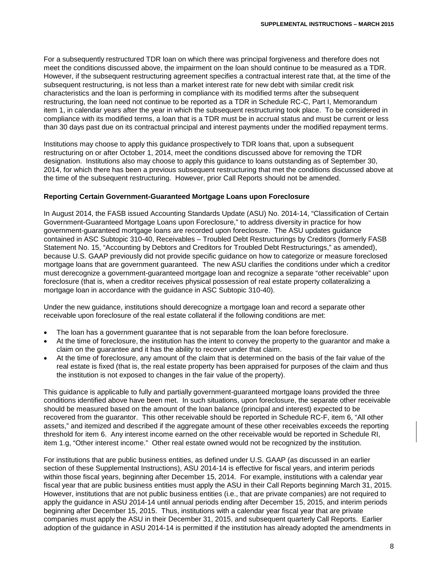For a subsequently restructured TDR loan on which there was principal forgiveness and therefore does not meet the conditions discussed above, the impairment on the loan should continue to be measured as a TDR. However, if the subsequent restructuring agreement specifies a contractual interest rate that, at the time of the subsequent restructuring, is not less than a market interest rate for new debt with similar credit risk characteristics and the loan is performing in compliance with its modified terms after the subsequent restructuring, the loan need not continue to be reported as a TDR in Schedule RC-C, Part I, Memorandum item 1, in calendar years after the year in which the subsequent restructuring took place. To be considered in compliance with its modified terms, a loan that is a TDR must be in accrual status and must be current or less than 30 days past due on its contractual principal and interest payments under the modified repayment terms.

Institutions may choose to apply this guidance prospectively to TDR loans that, upon a subsequent restructuring on or after October 1, 2014, meet the conditions discussed above for removing the TDR designation. Institutions also may choose to apply this guidance to loans outstanding as of September 30, 2014, for which there has been a previous subsequent restructuring that met the conditions discussed above at the time of the subsequent restructuring. However, prior Call Reports should not be amended.

## **Reporting Certain Government-Guaranteed Mortgage Loans upon Foreclosure**

In August 2014, the FASB issued Accounting Standards Update (ASU) No. 2014-14, "Classification of Certain Government-Guaranteed Mortgage Loans upon Foreclosure," to address diversity in practice for how government-guaranteed mortgage loans are recorded upon foreclosure. The ASU updates guidance contained in ASC Subtopic 310-40, Receivables – Troubled Debt Restructurings by Creditors (formerly FASB Statement No. 15, "Accounting by Debtors and Creditors for Troubled Debt Restructurings," as amended), because U.S. GAAP previously did not provide specific guidance on how to categorize or measure foreclosed mortgage loans that are government guaranteed. The new ASU clarifies the conditions under which a creditor must derecognize a government-guaranteed mortgage loan and recognize a separate "other receivable" upon foreclosure (that is, when a creditor receives physical possession of real estate property collateralizing a mortgage loan in accordance with the guidance in ASC Subtopic 310-40).

Under the new guidance, institutions should derecognize a mortgage loan and record a separate other receivable upon foreclosure of the real estate collateral if the following conditions are met:

- The loan has a government guarantee that is not separable from the loan before foreclosure.
- At the time of foreclosure, the institution has the intent to convey the property to the guarantor and make a claim on the guarantee and it has the ability to recover under that claim.
- At the time of foreclosure, any amount of the claim that is determined on the basis of the fair value of the real estate is fixed (that is, the real estate property has been appraised for purposes of the claim and thus the institution is not exposed to changes in the fair value of the property).

This guidance is applicable to fully and partially government-guaranteed mortgage loans provided the three conditions identified above have been met. In such situations, upon foreclosure, the separate other receivable should be measured based on the amount of the loan balance (principal and interest) expected to be recovered from the guarantor. This other receivable should be reported in Schedule RC-F, item 6, "All other assets," and itemized and described if the aggregate amount of these other receivables exceeds the reporting threshold for item 6. Any interest income earned on the other receivable would be reported in Schedule RI, item 1.g, "Other interest income." Other real estate owned would not be recognized by the institution.

For institutions that are public business entities, as defined under U.S. GAAP (as discussed in an earlier section of these Supplemental Instructions), ASU 2014-14 is effective for fiscal years, and interim periods within those fiscal years, beginning after December 15, 2014. For example, institutions with a calendar year fiscal year that are public business entities must apply the ASU in their Call Reports beginning March 31, 2015. However, institutions that are not public business entities (i.e., that are private companies) are not required to apply the guidance in ASU 2014-14 until annual periods ending after December 15, 2015, and interim periods beginning after December 15, 2015. Thus, institutions with a calendar year fiscal year that are private companies must apply the ASU in their December 31, 2015, and subsequent quarterly Call Reports. Earlier adoption of the guidance in ASU 2014-14 is permitted if the institution has already adopted the amendments in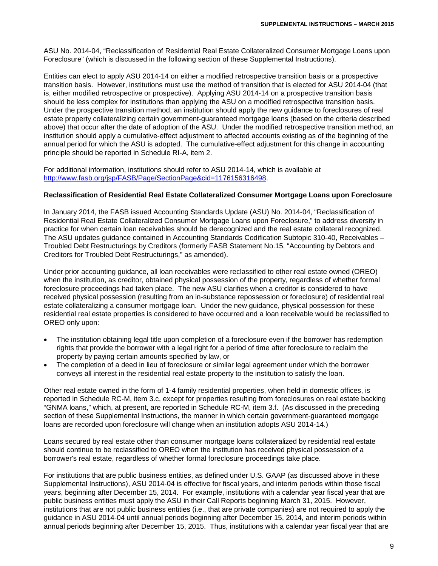ASU No. 2014-04, "Reclassification of Residential Real Estate Collateralized Consumer Mortgage Loans upon Foreclosure" (which is discussed in the following section of these Supplemental Instructions).

Entities can elect to apply ASU 2014-14 on either a modified retrospective transition basis or a prospective transition basis. However, institutions must use the method of transition that is elected for ASU 2014-04 (that is, either modified retrospective or prospective). Applying ASU 2014-14 on a prospective transition basis should be less complex for institutions than applying the ASU on a modified retrospective transition basis. Under the prospective transition method, an institution should apply the new guidance to foreclosures of real estate property collateralizing certain government-guaranteed mortgage loans (based on the criteria described above) that occur after the date of adoption of the ASU. Under the modified retrospective transition method, an institution should apply a cumulative-effect adjustment to affected accounts existing as of the beginning of the annual period for which the ASU is adopted. The cumulative-effect adjustment for this change in accounting principle should be reported in Schedule RI-A, item 2.

For additional information, institutions should refer to ASU 2014-14, which is available at [http://www.fasb.org/jsp/FASB/Page/SectionPage&cid=1176156316498.](http://www.fasb.org/jsp/FASB/Page/SectionPage&cid=1176156316498)

## **Reclassification of Residential Real Estate Collateralized Consumer Mortgage Loans upon Foreclosure**

In January 2014, the FASB issued Accounting Standards Update (ASU) No. 2014-04, "Reclassification of Residential Real Estate Collateralized Consumer Mortgage Loans upon Foreclosure," to address diversity in practice for when certain loan receivables should be derecognized and the real estate collateral recognized. The ASU updates guidance contained in Accounting Standards Codification Subtopic 310-40, Receivables – Troubled Debt Restructurings by Creditors (formerly FASB Statement No.15, "Accounting by Debtors and Creditors for Troubled Debt Restructurings," as amended).

Under prior accounting guidance, all loan receivables were reclassified to other real estate owned (OREO) when the institution, as creditor, obtained physical possession of the property, regardless of whether formal foreclosure proceedings had taken place. The new ASU clarifies when a creditor is considered to have received physical possession (resulting from an in-substance repossession or foreclosure) of residential real estate collateralizing a consumer mortgage loan. Under the new guidance, physical possession for these residential real estate properties is considered to have occurred and a loan receivable would be reclassified to OREO only upon:

- The institution obtaining legal title upon completion of a foreclosure even if the borrower has redemption rights that provide the borrower with a legal right for a period of time after foreclosure to reclaim the property by paying certain amounts specified by law, or
- The completion of a deed in lieu of foreclosure or similar legal agreement under which the borrower conveys all interest in the residential real estate property to the institution to satisfy the loan.

Other real estate owned in the form of 1-4 family residential properties, when held in domestic offices, is reported in Schedule RC-M, item 3.c, except for properties resulting from foreclosures on real estate backing "GNMA loans," which, at present, are reported in Schedule RC-M, item 3.f. (As discussed in the preceding section of these Supplemental Instructions, the manner in which certain government-guaranteed mortgage loans are recorded upon foreclosure will change when an institution adopts ASU 2014-14.)

Loans secured by real estate other than consumer mortgage loans collateralized by residential real estate should continue to be reclassified to OREO when the institution has received physical possession of a borrower's real estate, regardless of whether formal foreclosure proceedings take place.

For institutions that are public business entities, as defined under U.S. GAAP (as discussed above in these Supplemental Instructions), ASU 2014-04 is effective for fiscal years, and interim periods within those fiscal years, beginning after December 15, 2014. For example, institutions with a calendar year fiscal year that are public business entities must apply the ASU in their Call Reports beginning March 31, 2015. However, institutions that are not public business entities (i.e., that are private companies) are not required to apply the guidance in ASU 2014-04 until annual periods beginning after December 15, 2014, and interim periods within annual periods beginning after December 15, 2015. Thus, institutions with a calendar year fiscal year that are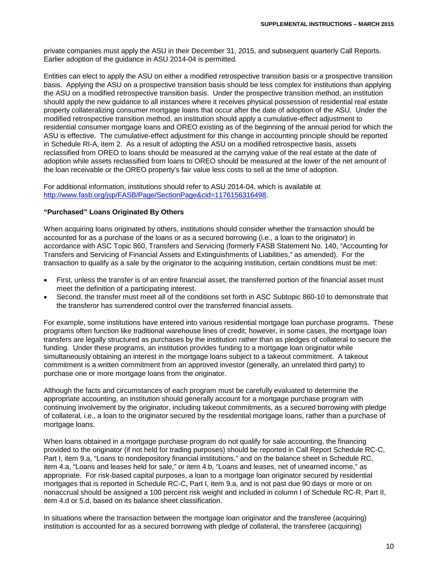private companies must apply the ASU in their December 31, 2015, and subsequent quarterly Call Reports. Earlier adoption of the guidance in ASU 2014-04 is permitted.

Entities can elect to apply the ASU on either a modified retrospective transition basis or a prospective transition basis. Applying the ASU on a prospective transition basis should be less complex for institutions than applying the ASU on a modified retrospective transition basis. Under the prospective transition method, an institution should apply the new guidance to all instances where it receives physical possession of residential real estate property collateralizing consumer mortgage loans that occur after the date of adoption of the ASU. Under the modified retrospective transition method, an institution should apply a cumulative-effect adjustment to residential consumer mortgage loans and OREO existing as of the beginning of the annual period for which the ASU is effective. The cumulative-effect adjustment for this change in accounting principle should be reported in Schedule RI-A, item 2. As a result of adopting the ASU on a modified retrospective basis, assets reclassified from OREO to loans should be measured at the carrying value of the real estate at the date of adoption while assets reclassified from loans to OREO should be measured at the lower of the net amount of the loan receivable or the OREO property's fair value less costs to sell at the time of adoption.

For additional information, institutions should refer to ASU 2014-04, which is available at [http://www.fasb.org/jsp/FASB/Page/SectionPage&cid=1176156316498.](http://www.fasb.org/jsp/FASB/Page/SectionPage&cid=1176156316498)

## **"Purchased" Loans Originated By Others**

When acquiring loans originated by others, institutions should consider whether the transaction should be accounted for as a purchase of the loans or as a secured borrowing (i.e., a loan to the originator) in accordance with ASC Topic 860, Transfers and Servicing (formerly FASB Statement No. 140, "Accounting for Transfers and Servicing of Financial Assets and Extinguishments of Liabilities," as amended). For the transaction to qualify as a sale by the originator to the acquiring institution, certain conditions must be met:

- First, unless the transfer is of an entire financial asset, the transferred portion of the financial asset must meet the definition of a participating interest.
- Second, the transfer must meet all of the conditions set forth in ASC Subtopic 860-10 to demonstrate that the transferor has surrendered control over the transferred financial assets.

For example, some institutions have entered into various residential mortgage loan purchase programs. These programs often function like traditional warehouse lines of credit; however, in some cases, the mortgage loan transfers are legally structured as purchases by the institution rather than as pledges of collateral to secure the funding. Under these programs, an institution provides funding to a mortgage loan originator while simultaneously obtaining an interest in the mortgage loans subject to a takeout commitment. A takeout commitment is a written commitment from an approved investor (generally, an unrelated third party) to purchase one or more mortgage loans from the originator.

Although the facts and circumstances of each program must be carefully evaluated to determine the appropriate accounting, an institution should generally account for a mortgage purchase program with continuing involvement by the originator, including takeout commitments, as a secured borrowing with pledge of collateral, i.e., a loan to the originator secured by the residential mortgage loans, rather than a purchase of mortgage loans.

When loans obtained in a mortgage purchase program do not qualify for sale accounting, the financing provided to the originator (if not held for trading purposes) should be reported in Call Report Schedule RC-C, Part I, item 9.a, "Loans to nondepository financial institutions," and on the balance sheet in Schedule RC, item 4.a, "Loans and leases held for sale," or item 4.b, "Loans and leases, net of unearned income," as appropriate. For risk-based capital purposes, a loan to a mortgage loan originator secured by residential mortgages that is reported in Schedule RC-C, Part I, item 9.a, and is not past due 90 days or more or on nonaccrual should be assigned a 100 percent risk weight and included in column I of Schedule RC-R, Part II, item 4.d or 5.d, based on its balance sheet classification.

In situations where the transaction between the mortgage loan originator and the transferee (acquiring) institution is accounted for as a secured borrowing with pledge of collateral, the transferee (acquiring)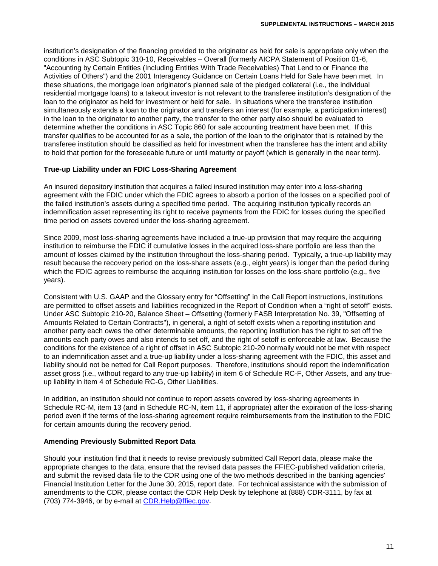institution's designation of the financing provided to the originator as held for sale is appropriate only when the conditions in ASC Subtopic 310-10, Receivables – Overall (formerly AICPA Statement of Position 01-6, "Accounting by Certain Entities (Including Entities With Trade Receivables) That Lend to or Finance the Activities of Others") and the 2001 Interagency Guidance on Certain Loans Held for Sale have been met. In these situations, the mortgage loan originator's planned sale of the pledged collateral (i.e., the individual residential mortgage loans) to a takeout investor is not relevant to the transferee institution's designation of the loan to the originator as held for investment or held for sale. In situations where the transferee institution simultaneously extends a loan to the originator and transfers an interest (for example, a participation interest) in the loan to the originator to another party, the transfer to the other party also should be evaluated to determine whether the conditions in ASC Topic 860 for sale accounting treatment have been met. If this transfer qualifies to be accounted for as a sale, the portion of the loan to the originator that is retained by the transferee institution should be classified as held for investment when the transferee has the intent and ability to hold that portion for the foreseeable future or until maturity or payoff (which is generally in the near term).

## **True-up Liability under an FDIC Loss-Sharing Agreement**

An insured depository institution that acquires a failed insured institution may enter into a loss-sharing agreement with the FDIC under which the FDIC agrees to absorb a portion of the losses on a specified pool of the failed institution's assets during a specified time period. The acquiring institution typically records an indemnification asset representing its right to receive payments from the FDIC for losses during the specified time period on assets covered under the loss-sharing agreement.

Since 2009, most loss-sharing agreements have included a true-up provision that may require the acquiring institution to reimburse the FDIC if cumulative losses in the acquired loss-share portfolio are less than the amount of losses claimed by the institution throughout the loss-sharing period. Typically, a true-up liability may result because the recovery period on the loss-share assets (e.g., eight years) is longer than the period during which the FDIC agrees to reimburse the acquiring institution for losses on the loss-share portfolio (e.g., five years).

Consistent with U.S. GAAP and the Glossary entry for "Offsetting" in the Call Report instructions, institutions are permitted to offset assets and liabilities recognized in the Report of Condition when a "right of setoff" exists. Under ASC Subtopic 210-20, Balance Sheet – Offsetting (formerly FASB Interpretation No. 39, "Offsetting of Amounts Related to Certain Contracts"), in general, a right of setoff exists when a reporting institution and another party each owes the other determinable amounts, the reporting institution has the right to set off the amounts each party owes and also intends to set off, and the right of setoff is enforceable at law. Because the conditions for the existence of a right of offset in ASC Subtopic 210-20 normally would not be met with respect to an indemnification asset and a true-up liability under a loss-sharing agreement with the FDIC, this asset and liability should not be netted for Call Report purposes. Therefore, institutions should report the indemnification asset gross (i.e., without regard to any true-up liability) in item 6 of Schedule RC-F, Other Assets, and any trueup liability in item 4 of Schedule RC-G, Other Liabilities.

In addition, an institution should not continue to report assets covered by loss-sharing agreements in Schedule RC-M, item 13 (and in Schedule RC-N, item 11, if appropriate) after the expiration of the loss-sharing period even if the terms of the loss-sharing agreement require reimbursements from the institution to the FDIC for certain amounts during the recovery period.

## **Amending Previously Submitted Report Data**

Should your institution find that it needs to revise previously submitted Call Report data, please make the appropriate changes to the data, ensure that the revised data passes the FFIEC-published validation criteria, and submit the revised data file to the CDR using one of the two methods described in the banking agencies' Financial Institution Letter for the June 30, 2015, report date. For technical assistance with the submission of amendments to the CDR, please contact the CDR Help Desk by telephone at (888) CDR-3111, by fax at (703) 774-3946, or by e-mail at CDR.Help@ffiec.gov.